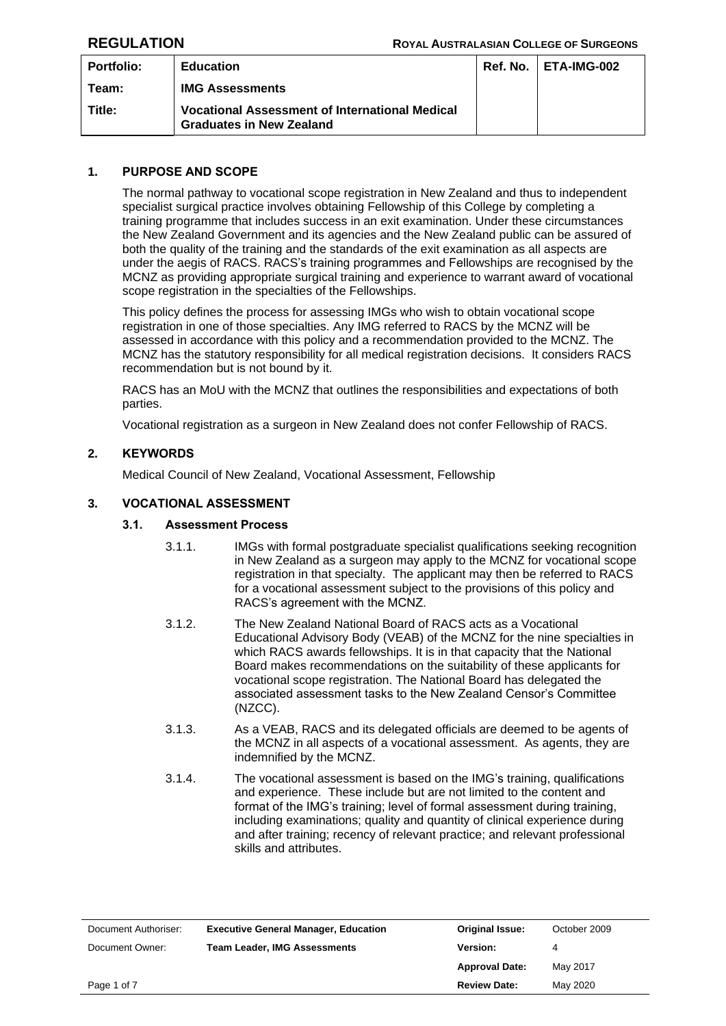| <b>Portfolio:</b> | <b>Education</b>                                                                         | <b>Ref. No.   ETA-IMG-002</b> |
|-------------------|------------------------------------------------------------------------------------------|-------------------------------|
| Team:             | <b>IMG Assessments</b>                                                                   |                               |
| Title:            | <b>Vocational Assessment of International Medical</b><br><b>Graduates in New Zealand</b> |                               |

## **1. PURPOSE AND SCOPE**

The normal pathway to vocational scope registration in New Zealand and thus to independent specialist surgical practice involves obtaining Fellowship of this College by completing a training programme that includes success in an exit examination. Under these circumstances the New Zealand Government and its agencies and the New Zealand public can be assured of both the quality of the training and the standards of the exit examination as all aspects are under the aegis of RACS. RACS's training programmes and Fellowships are recognised by the MCNZ as providing appropriate surgical training and experience to warrant award of vocational scope registration in the specialties of the Fellowships.

This policy defines the process for assessing IMGs who wish to obtain vocational scope registration in one of those specialties. Any IMG referred to RACS by the MCNZ will be assessed in accordance with this policy and a recommendation provided to the MCNZ. The MCNZ has the statutory responsibility for all medical registration decisions. It considers RACS recommendation but is not bound by it.

RACS has an MoU with the MCNZ that outlines the responsibilities and expectations of both parties.

Vocational registration as a surgeon in New Zealand does not confer Fellowship of RACS.

## **2. KEYWORDS**

Medical Council of New Zealand, Vocational Assessment, Fellowship

## **3. VOCATIONAL ASSESSMENT**

### **3.1. Assessment Process**

- 3.1.1. IMGs with formal postgraduate specialist qualifications seeking recognition in New Zealand as a surgeon may apply to the MCNZ for vocational scope registration in that specialty. The applicant may then be referred to RACS for a vocational assessment subject to the provisions of this policy and RACS's agreement with the MCNZ.
- 3.1.2. The New Zealand National Board of RACS acts as a Vocational Educational Advisory Body (VEAB) of the MCNZ for the nine specialties in which RACS awards fellowships. It is in that capacity that the National Board makes recommendations on the suitability of these applicants for vocational scope registration. The National Board has delegated the associated assessment tasks to the New Zealand Censor's Committee (NZCC).
- 3.1.3. As a VEAB, RACS and its delegated officials are deemed to be agents of the MCNZ in all aspects of a vocational assessment. As agents, they are indemnified by the MCNZ.
- 3.1.4. The vocational assessment is based on the IMG's training, qualifications and experience. These include but are not limited to the content and format of the IMG's training; level of formal assessment during training, including examinations; quality and quantity of clinical experience during and after training; recency of relevant practice; and relevant professional skills and attributes.

| Document Authoriser: | <b>Executive General Manager, Education</b> | <b>Original Issue:</b> | October 2009 |
|----------------------|---------------------------------------------|------------------------|--------------|
| Document Owner:      | <b>Team Leader, IMG Assessments</b>         | Version:               |              |
|                      |                                             | <b>Approval Date:</b>  | May 2017     |
| Page 1 of 7          |                                             | <b>Review Date:</b>    | May 2020     |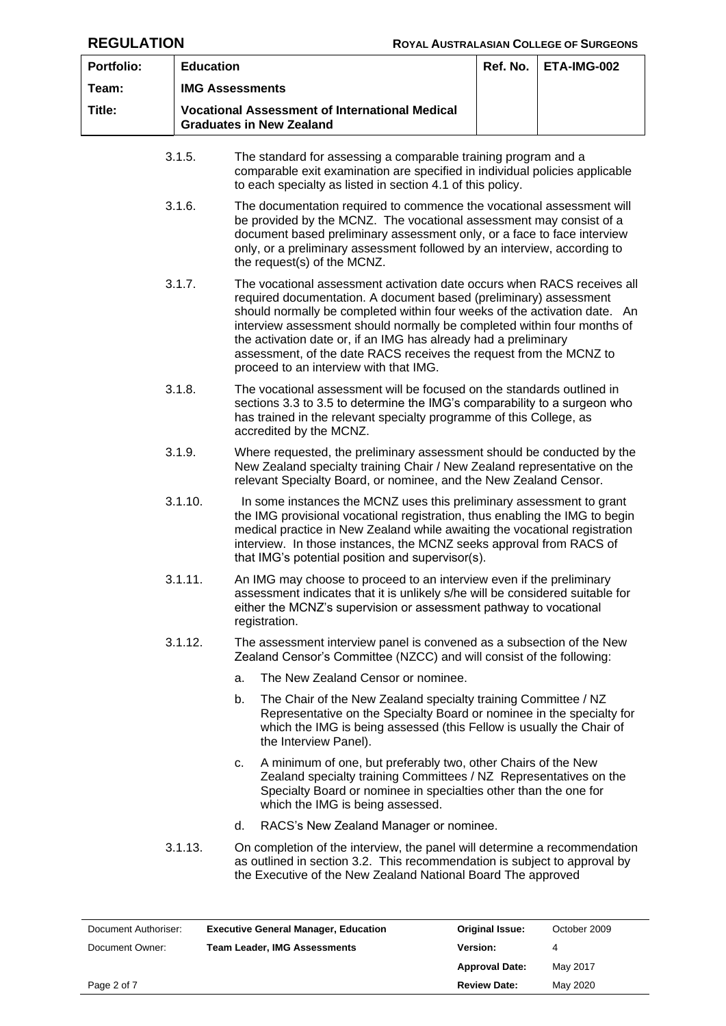| <b>Portfolio:</b> |                                                                                          | <b>Education</b>                                                                                                                                                                                                                                                                                                                                                                                                                                                                        |  | ETA-IMG-002 |  |
|-------------------|------------------------------------------------------------------------------------------|-----------------------------------------------------------------------------------------------------------------------------------------------------------------------------------------------------------------------------------------------------------------------------------------------------------------------------------------------------------------------------------------------------------------------------------------------------------------------------------------|--|-------------|--|
| Team:             |                                                                                          | <b>IMG Assessments</b>                                                                                                                                                                                                                                                                                                                                                                                                                                                                  |  |             |  |
| Title:            | <b>Vocational Assessment of International Medical</b><br><b>Graduates in New Zealand</b> |                                                                                                                                                                                                                                                                                                                                                                                                                                                                                         |  |             |  |
|                   | 3.1.5.                                                                                   | The standard for assessing a comparable training program and a<br>comparable exit examination are specified in individual policies applicable<br>to each specialty as listed in section 4.1 of this policy.                                                                                                                                                                                                                                                                             |  |             |  |
|                   | 3.1.6.                                                                                   | The documentation required to commence the vocational assessment will<br>be provided by the MCNZ. The vocational assessment may consist of a<br>document based preliminary assessment only, or a face to face interview<br>only, or a preliminary assessment followed by an interview, according to<br>the request(s) of the MCNZ.                                                                                                                                                      |  |             |  |
|                   | 3.1.7.                                                                                   | The vocational assessment activation date occurs when RACS receives all<br>required documentation. A document based (preliminary) assessment<br>should normally be completed within four weeks of the activation date. An<br>interview assessment should normally be completed within four months of<br>the activation date or, if an IMG has already had a preliminary<br>assessment, of the date RACS receives the request from the MCNZ to<br>proceed to an interview with that IMG. |  |             |  |
|                   | 3.1.8.                                                                                   | The vocational assessment will be focused on the standards outlined in<br>sections 3.3 to 3.5 to determine the IMG's comparability to a surgeon who<br>has trained in the relevant specialty programme of this College, as<br>accredited by the MCNZ.                                                                                                                                                                                                                                   |  |             |  |
|                   | 3.1.9.                                                                                   | Where requested, the preliminary assessment should be conducted by the<br>New Zealand specialty training Chair / New Zealand representative on the<br>relevant Specialty Board, or nominee, and the New Zealand Censor.                                                                                                                                                                                                                                                                 |  |             |  |
|                   | 3.1.10.                                                                                  | In some instances the MCNZ uses this preliminary assessment to grant<br>the IMG provisional vocational registration, thus enabling the IMG to begin<br>medical practice in New Zealand while awaiting the vocational registration<br>interview. In those instances, the MCNZ seeks approval from RACS of<br>that IMG's potential position and supervisor(s).                                                                                                                            |  |             |  |
|                   | 3.1.11.                                                                                  | An IMG may choose to proceed to an interview even if the preliminary<br>assessment indicates that it is unlikely s/he will be considered suitable for<br>either the MCNZ's supervision or assessment pathway to vocational<br>registration.                                                                                                                                                                                                                                             |  |             |  |
|                   | 3.1.12.                                                                                  | The assessment interview panel is convened as a subsection of the New<br>Zealand Censor's Committee (NZCC) and will consist of the following:                                                                                                                                                                                                                                                                                                                                           |  |             |  |
|                   |                                                                                          | The New Zealand Censor or nominee.<br>a.                                                                                                                                                                                                                                                                                                                                                                                                                                                |  |             |  |
|                   |                                                                                          | The Chair of the New Zealand specialty training Committee / NZ<br>b.<br>Representative on the Specialty Board or nominee in the specialty for<br>which the IMG is being assessed (this Fellow is usually the Chair of<br>the Interview Panel).                                                                                                                                                                                                                                          |  |             |  |
|                   |                                                                                          | A minimum of one, but preferably two, other Chairs of the New<br>c.<br>Zealand specialty training Committees / NZ Representatives on the<br>Specialty Board or nominee in specialties other than the one for<br>which the IMG is being assessed.                                                                                                                                                                                                                                        |  |             |  |
|                   |                                                                                          | RACS's New Zealand Manager or nominee.<br>d.                                                                                                                                                                                                                                                                                                                                                                                                                                            |  |             |  |
|                   | 3.1.13.                                                                                  | On completion of the interview, the panel will determine a recommendation<br>as outlined in section 3.2. This recommendation is subject to approval by<br>the Executive of the New Zealand National Board The approved                                                                                                                                                                                                                                                                  |  |             |  |

| Document Authoriser: | <b>Executive General Manager, Education</b> | <b>Original Issue:</b> | October 2009 |
|----------------------|---------------------------------------------|------------------------|--------------|
| Document Owner:      | <b>Team Leader, IMG Assessments</b>         | Version:               | 4            |
|                      |                                             | <b>Approval Date:</b>  | May 2017     |
| Page 2 of 7          |                                             | <b>Review Date:</b>    | May 2020     |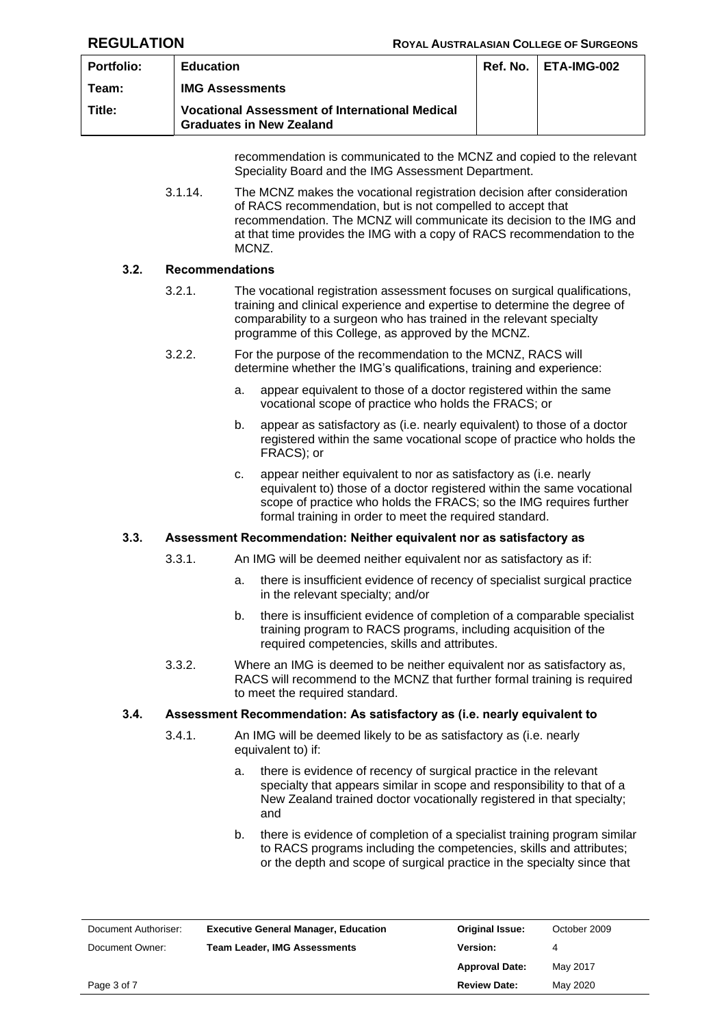| <b>Portfolio:</b> | <b>Education</b>                                                                         | <b>Ref. No.   ETA-IMG-002</b> |
|-------------------|------------------------------------------------------------------------------------------|-------------------------------|
| Team:             | <b>IMG Assessments</b>                                                                   |                               |
| Title:            | <b>Vocational Assessment of International Medical</b><br><b>Graduates in New Zealand</b> |                               |
|                   |                                                                                          |                               |

recommendation is communicated to the MCNZ and copied to the relevant Speciality Board and the IMG Assessment Department.

3.1.14. The MCNZ makes the vocational registration decision after consideration of RACS recommendation, but is not compelled to accept that recommendation. The MCNZ will communicate its decision to the IMG and at that time provides the IMG with a copy of RACS recommendation to the MCNZ.

## <span id="page-2-1"></span>**3.2. Recommendations**

- 3.2.1. The vocational registration assessment focuses on surgical qualifications, training and clinical experience and expertise to determine the degree of comparability to a surgeon who has trained in the relevant specialty programme of this College, as approved by the MCNZ.
- 3.2.2. For the purpose of the recommendation to the MCNZ, RACS will determine whether the IMG's qualifications, training and experience:
	- a. appear equivalent to those of a doctor registered within the same vocational scope of practice who holds the FRACS; or
	- b. appear as satisfactory as (i.e. nearly equivalent) to those of a doctor registered within the same vocational scope of practice who holds the FRACS); or
	- c. appear neither equivalent to nor as satisfactory as (i.e. nearly equivalent to) those of a doctor registered within the same vocational scope of practice who holds the FRACS; so the IMG requires further formal training in order to meet the required standard.

### <span id="page-2-0"></span>**3.3. Assessment Recommendation: Neither equivalent nor as satisfactory as**

- 3.3.1. An IMG will be deemed neither equivalent nor as satisfactory as if:
	- a. there is insufficient evidence of recency of specialist surgical practice in the relevant specialty; and/or
	- b. there is insufficient evidence of completion of a comparable specialist training program to RACS programs, including acquisition of the required competencies, skills and attributes.
- 3.3.2. Where an IMG is deemed to be neither equivalent nor as satisfactory as, RACS will recommend to the MCNZ that further formal training is required to meet the required standard.

## **3.4. Assessment Recommendation: As satisfactory as (i.e. nearly equivalent to**

- 3.4.1. An IMG will be deemed likely to be as satisfactory as (i.e. nearly equivalent to) if:
	- a. there is evidence of recency of surgical practice in the relevant specialty that appears similar in scope and responsibility to that of a New Zealand trained doctor vocationally registered in that specialty; and
	- b. there is evidence of completion of a specialist training program similar to RACS programs including the competencies, skills and attributes; or the depth and scope of surgical practice in the specialty since that

| Document Authoriser: | <b>Executive General Manager, Education</b> | <b>Original Issue:</b> | October 2009 |
|----------------------|---------------------------------------------|------------------------|--------------|
| Document Owner:      | <b>Team Leader, IMG Assessments</b>         | Version:               |              |
|                      |                                             | <b>Approval Date:</b>  | May 2017     |
| Page 3 of 7          |                                             | <b>Review Date:</b>    | May 2020     |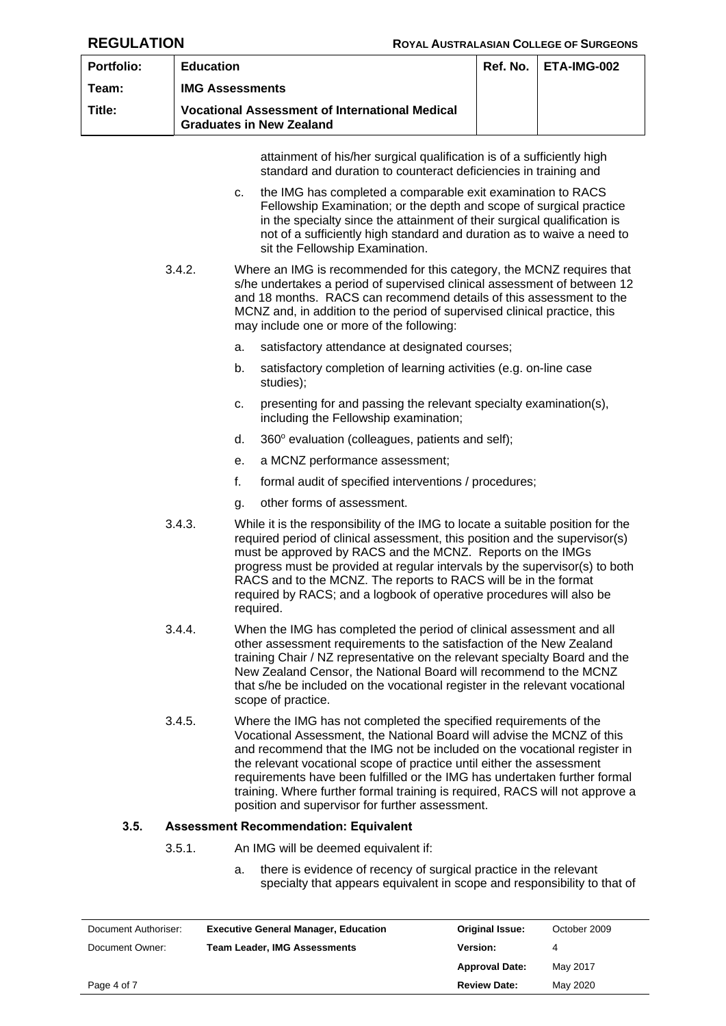| <b>Portfolio:</b> | <b>Education</b>                                                                                                                                                                                                                                                                                                                                                                                                                                                                                                           |                                                                                                                                                                                                                                                                                                                                                                                                                                                                     |                                                                                                                                                                                                                                                                                                                                                    | Ref. No. | ETA-IMG-002 |  |
|-------------------|----------------------------------------------------------------------------------------------------------------------------------------------------------------------------------------------------------------------------------------------------------------------------------------------------------------------------------------------------------------------------------------------------------------------------------------------------------------------------------------------------------------------------|---------------------------------------------------------------------------------------------------------------------------------------------------------------------------------------------------------------------------------------------------------------------------------------------------------------------------------------------------------------------------------------------------------------------------------------------------------------------|----------------------------------------------------------------------------------------------------------------------------------------------------------------------------------------------------------------------------------------------------------------------------------------------------------------------------------------------------|----------|-------------|--|
| Team:             |                                                                                                                                                                                                                                                                                                                                                                                                                                                                                                                            | <b>IMG Assessments</b>                                                                                                                                                                                                                                                                                                                                                                                                                                              |                                                                                                                                                                                                                                                                                                                                                    |          |             |  |
| Title:            |                                                                                                                                                                                                                                                                                                                                                                                                                                                                                                                            |                                                                                                                                                                                                                                                                                                                                                                                                                                                                     | <b>Vocational Assessment of International Medical</b><br><b>Graduates in New Zealand</b>                                                                                                                                                                                                                                                           |          |             |  |
|                   |                                                                                                                                                                                                                                                                                                                                                                                                                                                                                                                            |                                                                                                                                                                                                                                                                                                                                                                                                                                                                     | attainment of his/her surgical qualification is of a sufficiently high<br>standard and duration to counteract deficiencies in training and                                                                                                                                                                                                         |          |             |  |
| c.                |                                                                                                                                                                                                                                                                                                                                                                                                                                                                                                                            |                                                                                                                                                                                                                                                                                                                                                                                                                                                                     | the IMG has completed a comparable exit examination to RACS<br>Fellowship Examination; or the depth and scope of surgical practice<br>in the specialty since the attainment of their surgical qualification is<br>not of a sufficiently high standard and duration as to waive a need to<br>sit the Fellowship Examination.                        |          |             |  |
|                   | 3.4.2.                                                                                                                                                                                                                                                                                                                                                                                                                                                                                                                     |                                                                                                                                                                                                                                                                                                                                                                                                                                                                     | Where an IMG is recommended for this category, the MCNZ requires that<br>s/he undertakes a period of supervised clinical assessment of between 12<br>and 18 months. RACS can recommend details of this assessment to the<br>MCNZ and, in addition to the period of supervised clinical practice, this<br>may include one or more of the following: |          |             |  |
|                   |                                                                                                                                                                                                                                                                                                                                                                                                                                                                                                                            | a.                                                                                                                                                                                                                                                                                                                                                                                                                                                                  | satisfactory attendance at designated courses;                                                                                                                                                                                                                                                                                                     |          |             |  |
|                   |                                                                                                                                                                                                                                                                                                                                                                                                                                                                                                                            | b.                                                                                                                                                                                                                                                                                                                                                                                                                                                                  | satisfactory completion of learning activities (e.g. on-line case<br>studies);                                                                                                                                                                                                                                                                     |          |             |  |
|                   |                                                                                                                                                                                                                                                                                                                                                                                                                                                                                                                            | c.                                                                                                                                                                                                                                                                                                                                                                                                                                                                  | presenting for and passing the relevant specialty examination(s),<br>including the Fellowship examination;                                                                                                                                                                                                                                         |          |             |  |
|                   |                                                                                                                                                                                                                                                                                                                                                                                                                                                                                                                            | d.                                                                                                                                                                                                                                                                                                                                                                                                                                                                  | 360° evaluation (colleagues, patients and self);                                                                                                                                                                                                                                                                                                   |          |             |  |
|                   |                                                                                                                                                                                                                                                                                                                                                                                                                                                                                                                            | е.                                                                                                                                                                                                                                                                                                                                                                                                                                                                  | a MCNZ performance assessment;                                                                                                                                                                                                                                                                                                                     |          |             |  |
|                   |                                                                                                                                                                                                                                                                                                                                                                                                                                                                                                                            | f.                                                                                                                                                                                                                                                                                                                                                                                                                                                                  | formal audit of specified interventions / procedures;                                                                                                                                                                                                                                                                                              |          |             |  |
|                   |                                                                                                                                                                                                                                                                                                                                                                                                                                                                                                                            | g.                                                                                                                                                                                                                                                                                                                                                                                                                                                                  | other forms of assessment.                                                                                                                                                                                                                                                                                                                         |          |             |  |
|                   | 3.4.3.                                                                                                                                                                                                                                                                                                                                                                                                                                                                                                                     | While it is the responsibility of the IMG to locate a suitable position for the<br>required period of clinical assessment, this position and the supervisor(s)<br>must be approved by RACS and the MCNZ. Reports on the IMGs<br>progress must be provided at regular intervals by the supervisor(s) to both<br>RACS and to the MCNZ. The reports to RACS will be in the format<br>required by RACS; and a logbook of operative procedures will also be<br>required. |                                                                                                                                                                                                                                                                                                                                                    |          |             |  |
|                   | 3.4.4.                                                                                                                                                                                                                                                                                                                                                                                                                                                                                                                     | When the IMG has completed the period of clinical assessment and all<br>other assessment requirements to the satisfaction of the New Zealand<br>training Chair / NZ representative on the relevant specialty Board and the<br>New Zealand Censor, the National Board will recommend to the MCNZ<br>that s/he be included on the vocational register in the relevant vocational<br>scope of practice.                                                                |                                                                                                                                                                                                                                                                                                                                                    |          |             |  |
|                   | 3.4.5.<br>Where the IMG has not completed the specified requirements of the<br>Vocational Assessment, the National Board will advise the MCNZ of this<br>and recommend that the IMG not be included on the vocational register in<br>the relevant vocational scope of practice until either the assessment<br>requirements have been fulfilled or the IMG has undertaken further formal<br>training. Where further formal training is required, RACS will not approve a<br>position and supervisor for further assessment. |                                                                                                                                                                                                                                                                                                                                                                                                                                                                     |                                                                                                                                                                                                                                                                                                                                                    |          |             |  |
| 3.5.              |                                                                                                                                                                                                                                                                                                                                                                                                                                                                                                                            |                                                                                                                                                                                                                                                                                                                                                                                                                                                                     | <b>Assessment Recommendation: Equivalent</b>                                                                                                                                                                                                                                                                                                       |          |             |  |
|                   | 3.5.1.                                                                                                                                                                                                                                                                                                                                                                                                                                                                                                                     |                                                                                                                                                                                                                                                                                                                                                                                                                                                                     | An IMG will be deemed equivalent if:                                                                                                                                                                                                                                                                                                               |          |             |  |
|                   |                                                                                                                                                                                                                                                                                                                                                                                                                                                                                                                            | a.                                                                                                                                                                                                                                                                                                                                                                                                                                                                  | there is evidence of recency of surgical practice in the relevant<br>specialty that appears equivalent in scope and responsibility to that of                                                                                                                                                                                                      |          |             |  |

<span id="page-3-0"></span>

| Document Authoriser: | <b>Executive General Manager, Education</b> | <b>Original Issue:</b> | October 2009 |
|----------------------|---------------------------------------------|------------------------|--------------|
| Document Owner:      | <b>Team Leader, IMG Assessments</b>         | Version:               | 4            |
|                      |                                             | <b>Approval Date:</b>  | May 2017     |
| Page 4 of 7          |                                             | <b>Review Date:</b>    | May 2020     |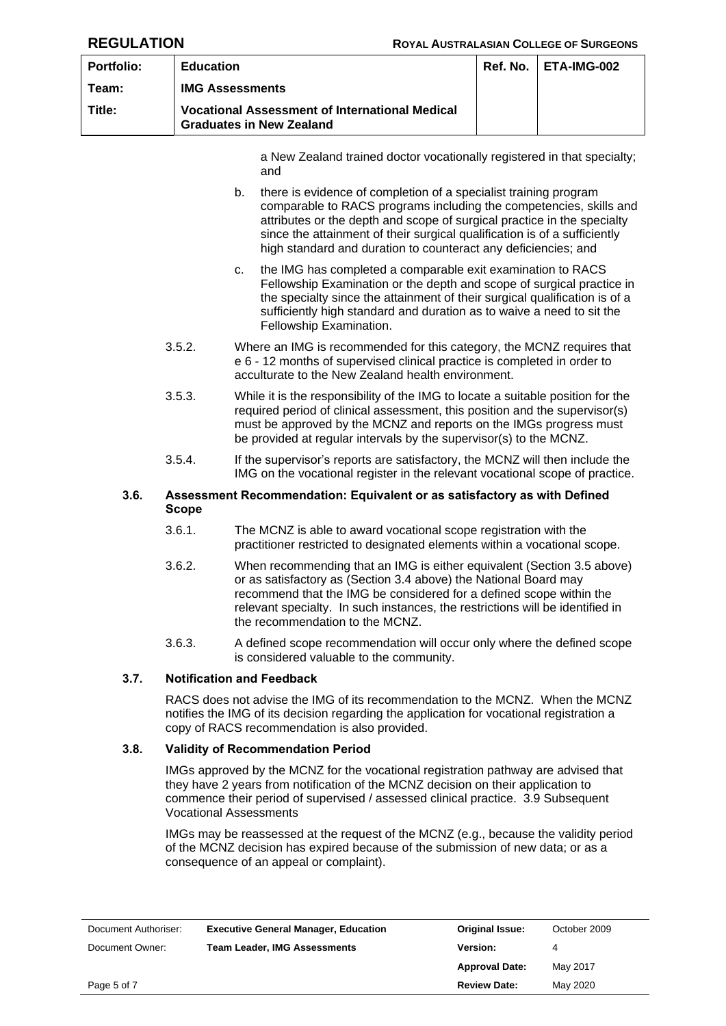| <b>Portfolio:</b> | <b>Education</b>                                                                         | $Ref. No.$ $ETA-IMG-002$ |
|-------------------|------------------------------------------------------------------------------------------|--------------------------|
| Team:             | <b>IMG Assessments</b>                                                                   |                          |
| Title:            | <b>Vocational Assessment of International Medical</b><br><b>Graduates in New Zealand</b> |                          |

a New Zealand trained doctor vocationally registered in that specialty; and

- b. there is evidence of completion of a specialist training program comparable to RACS programs including the competencies, skills and attributes or the depth and scope of surgical practice in the specialty since the attainment of their surgical qualification is of a sufficiently high standard and duration to counteract any deficiencies; and
- c. the IMG has completed a comparable exit examination to RACS Fellowship Examination or the depth and scope of surgical practice in the specialty since the attainment of their surgical qualification is of a sufficiently high standard and duration as to waive a need to sit the Fellowship Examination.
- 3.5.2. Where an IMG is recommended for this category, the MCNZ requires that e 6 - 12 months of supervised clinical practice is completed in order to acculturate to the New Zealand health environment.
- 3.5.3. While it is the responsibility of the IMG to locate a suitable position for the required period of clinical assessment, this position and the supervisor(s) must be approved by the MCNZ and reports on the IMGs progress must be provided at regular intervals by the supervisor(s) to the MCNZ.
- 3.5.4. If the supervisor's reports are satisfactory, the MCNZ will then include the IMG on the vocational register in the relevant vocational scope of practice.

## **3.6. Assessment Recommendation: Equivalent or as satisfactory as with Defined Scope**

- 3.6.1. The MCNZ is able to award vocational scope registration with the practitioner restricted to designated elements within a vocational scope.
- 3.6.2. When recommending that an IMG is either equivalent (Section [3.5](#page-3-0) above) or as satisfactory as (Section 3.4 above) the National Board may recommend that the IMG be considered for a defined scope within the relevant specialty. In such instances, the restrictions will be identified in the recommendation to the MCNZ.
- 3.6.3. A defined scope recommendation will occur only where the defined scope is considered valuable to the community.

## **3.7. Notification and Feedback**

RACS does not advise the IMG of its recommendation to the MCNZ. When the MCNZ notifies the IMG of its decision regarding the application for vocational registration a copy of RACS recommendation is also provided.

## **3.8. Validity of Recommendation Period**

<span id="page-4-0"></span>IMGs approved by the MCNZ for the vocational registration pathway are advised that they have 2 years from notification of the MCNZ decision on their application to commence their period of supervised / assessed clinical practice. 3.9 Subsequent Vocational Assessments

IMGs may be reassessed at the request of the MCNZ (e.g., because the validity period of the MCNZ decision has expired because of the submission of new data; or as a consequence of an appeal or complaint).

| Document Authoriser: | <b>Executive General Manager, Education</b> | <b>Original Issue:</b> | October 2009 |
|----------------------|---------------------------------------------|------------------------|--------------|
| Document Owner:      | <b>Team Leader, IMG Assessments</b>         | <b>Version:</b>        | 4            |
|                      |                                             | <b>Approval Date:</b>  | May 2017     |
| Page 5 of 7          |                                             | <b>Review Date:</b>    | May 2020     |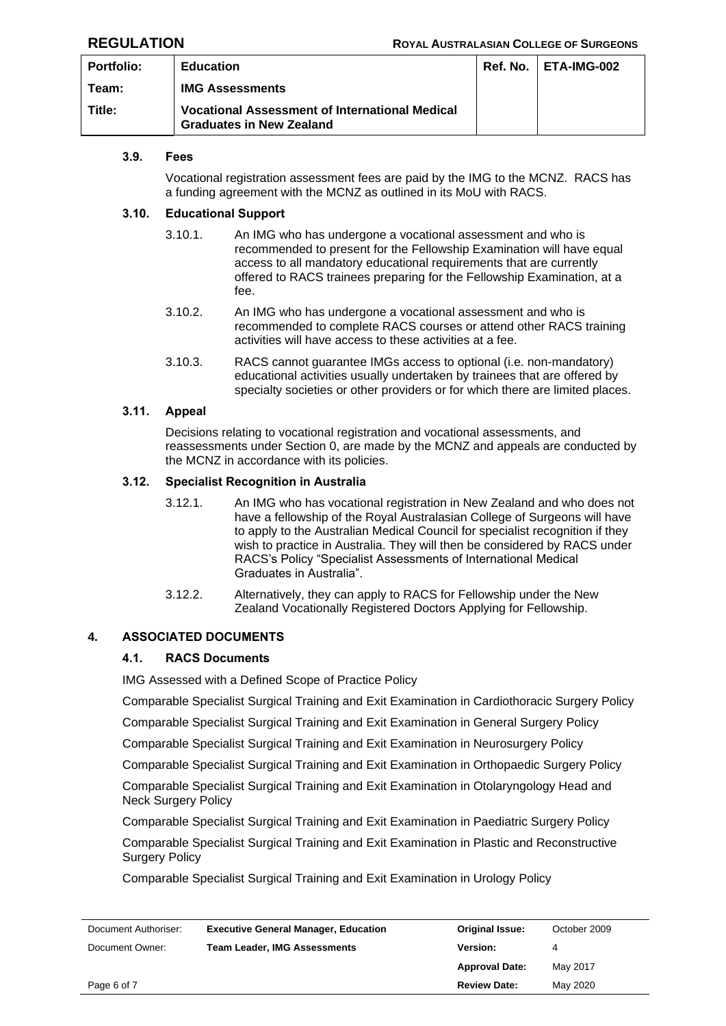| <b>Portfolio:</b> | <b>Education</b>                                                                         | <b>Ref. No.   ETA-IMG-002</b> |
|-------------------|------------------------------------------------------------------------------------------|-------------------------------|
| Team:             | <b>IMG Assessments</b>                                                                   |                               |
| Title:            | <b>Vocational Assessment of International Medical</b><br><b>Graduates in New Zealand</b> |                               |

## **3.9. Fees**

Vocational registration assessment fees are paid by the IMG to the MCNZ. RACS has a funding agreement with the MCNZ as outlined in its MoU with RACS.

## **3.10. Educational Support**

- 3.10.1. An IMG who has undergone a vocational assessment and who is recommended to present for the Fellowship Examination will have equal access to all mandatory educational requirements that are currently offered to RACS trainees preparing for the Fellowship Examination, at a fee.
- 3.10.2. An IMG who has undergone a vocational assessment and who is recommended to complete RACS courses or attend other RACS training activities will have access to these activities at a fee.
- 3.10.3. RACS cannot guarantee IMGs access to optional (i.e. non-mandatory) educational activities usually undertaken by trainees that are offered by specialty societies or other providers or for which there are limited places.

## **3.11. Appeal**

Decisions relating to vocational registration and vocational assessments, and reassessments under Section [0,](#page-4-0) are made by the MCNZ and appeals are conducted by the MCNZ in accordance with its policies.

### **3.12. Specialist Recognition in Australia**

- 3.12.1. An IMG who has vocational registration in New Zealand and who does not have a fellowship of the Royal Australasian College of Surgeons will have to apply to the Australian Medical Council for specialist recognition if they wish to practice in Australia. They will then be considered by RACS under RACS's Policy "Specialist Assessments of International Medical Graduates in Australia".
- 3.12.2. Alternatively, they can apply to RACS for Fellowship under the New Zealand Vocationally Registered Doctors Applying for Fellowship.

## **4. ASSOCIATED DOCUMENTS**

### **4.1. RACS Documents**

IMG Assessed with a Defined Scope of Practice Policy

Comparable Specialist Surgical Training and Exit Examination in Cardiothoracic Surgery Policy

Comparable Specialist Surgical Training and Exit Examination in General Surgery Policy

Comparable Specialist Surgical Training and Exit Examination in Neurosurgery Policy

Comparable Specialist Surgical Training and Exit Examination in Orthopaedic Surgery Policy

Comparable Specialist Surgical Training and Exit Examination in Otolaryngology Head and Neck Surgery Policy

Comparable Specialist Surgical Training and Exit Examination in Paediatric Surgery Policy

Comparable Specialist Surgical Training and Exit Examination in Plastic and Reconstructive Surgery Policy

Comparable Specialist Surgical Training and Exit Examination in Urology Policy

| Document Authoriser: | <b>Executive General Manager, Education</b> | <b>Original Issue:</b> | October 2009 |
|----------------------|---------------------------------------------|------------------------|--------------|
| Document Owner:      | <b>Team Leader, IMG Assessments</b>         | Version:               | 4            |
|                      |                                             | <b>Approval Date:</b>  | May 2017     |
| Page 6 of 7          |                                             | <b>Review Date:</b>    | May 2020     |